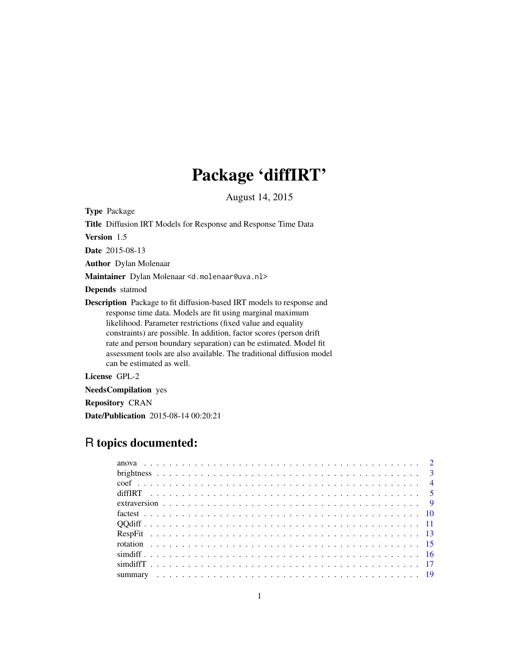# Package 'diffIRT'

August 14, 2015

<span id="page-0-0"></span>Type Package

Title Diffusion IRT Models for Response and Response Time Data

Version 1.5

Date 2015-08-13

Author Dylan Molenaar

Maintainer Dylan Molenaar <d.molenaar@uva.nl>

Depends statmod

Description Package to fit diffusion-based IRT models to response and response time data. Models are fit using marginal maximum likelihood. Parameter restrictions (fixed value and equality constraints) are possible. In addition, factor scores (person drift rate and person boundary separation) can be estimated. Model fit assessment tools are also available. The traditional diffusion model can be estimated as well.

License GPL-2

NeedsCompilation yes

Repository CRAN

Date/Publication 2015-08-14 00:20:21

# R topics documented: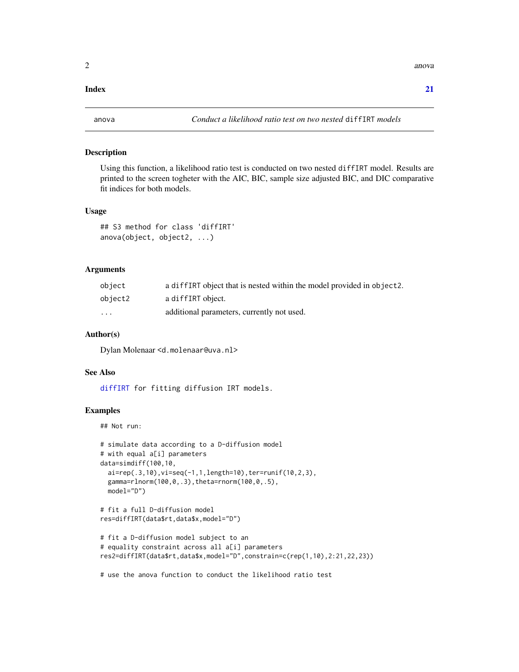#### <span id="page-1-0"></span>**Index** [21](#page-20-0)

### <span id="page-1-1"></span>Description

Using this function, a likelihood ratio test is conducted on two nested diffIRT model. Results are printed to the screen togheter with the AIC, BIC, sample size adjusted BIC, and DIC comparative fit indices for both models.

# Usage

## S3 method for class 'diffIRT' anova(object, object2, ...)

#### Arguments

| object   | a diffIRT object that is nested within the model provided in object2. |
|----------|-----------------------------------------------------------------------|
| object2  | a diffIRT object.                                                     |
| $\cdots$ | additional parameters, currently not used.                            |

## Author(s)

Dylan Molenaar <d.molenaar@uva.nl>

# See Also

[diffIRT](#page-4-1) for fitting diffusion IRT models.

# Examples

## Not run:

```
# simulate data according to a D-diffusion model
# with equal a[i] parameters
data=simdiff(100,10,
 ai=rep(.3,10), vi=seq(-1,1, length=10), ter=runif(10,2,3),
 gamma=rlnorm(100,0,.3),theta=rnorm(100,0,.5),
 model="D")
# fit a full D-diffusion model
res=diffIRT(data$rt,data$x,model="D")
# fit a D-diffusion model subject to an
# equality constraint across all a[i] parameters
res2=diffIRT(data$rt,data$x,model="D",constrain=c(rep(1,10),2:21,22,23))
```
# use the anova function to conduct the likelihood ratio test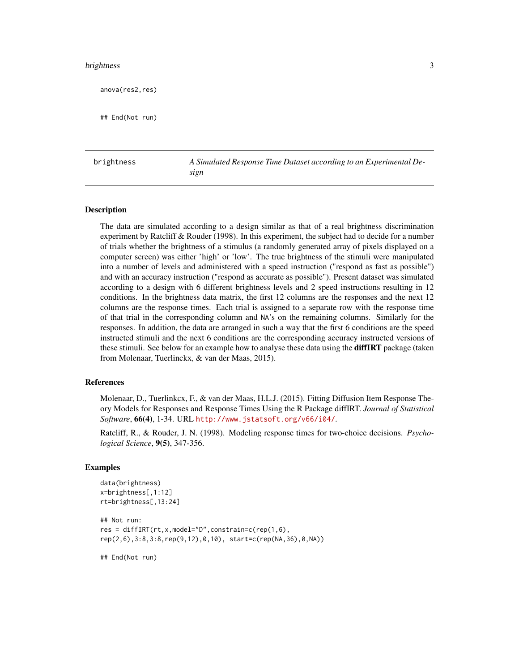#### <span id="page-2-0"></span>brightness 3

anova(res2,res)

## End(Not run)

brightness *A Simulated Response Time Dataset according to an Experimental Design*

#### Description

The data are simulated according to a design similar as that of a real brightness discrimination experiment by Ratcliff & Rouder (1998). In this experiment, the subject had to decide for a number of trials whether the brightness of a stimulus (a randomly generated array of pixels displayed on a computer screen) was either 'high' or 'low'. The true brightness of the stimuli were manipulated into a number of levels and administered with a speed instruction ("respond as fast as possible") and with an accuracy instruction ("respond as accurate as possible"). Present dataset was simulated according to a design with 6 different brightness levels and 2 speed instructions resulting in 12 conditions. In the brightness data matrix, the first 12 columns are the responses and the next 12 columns are the response times. Each trial is assigned to a separate row with the response time of that trial in the corresponding column and NA's on the remaining columns. Similarly for the responses. In addition, the data are arranged in such a way that the first 6 conditions are the speed instructed stimuli and the next 6 conditions are the corresponding accuracy instructed versions of these stimuli. See below for an example how to analyse these data using the **diffIRT** package (taken from Molenaar, Tuerlinckx, & van der Maas, 2015).

#### References

Molenaar, D., Tuerlinkcx, F., & van der Maas, H.L.J. (2015). Fitting Diffusion Item Response Theory Models for Responses and Response Times Using the R Package diffIRT. *Journal of Statistical Software*, 66(4), 1-34. URL <http://www.jstatsoft.org/v66/i04/>.

Ratcliff, R., & Rouder, J. N. (1998). Modeling response times for two-choice decisions. *Psychological Science*, 9(5), 347-356.

#### Examples

```
data(brightness)
x=brightness[,1:12]
rt=brightness[,13:24]
## Not run:
res = diffIRT(rt,x,model="D",constrain=c(rep(1,6),
rep(2,6),3:8,3:8,rep(9,12),0,10), start=c(rep(NA,36),0,NA))
```
## End(Not run)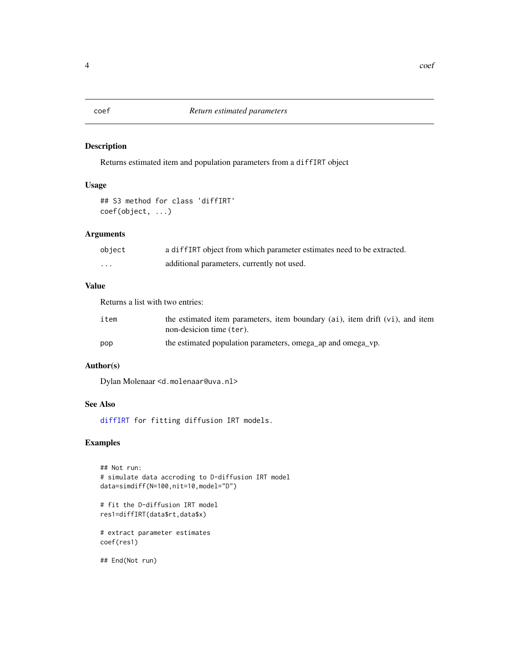# <span id="page-3-1"></span><span id="page-3-0"></span>Description

Returns estimated item and population parameters from a diffIRT object

# Usage

```
## S3 method for class 'diffIRT'
coef(object, ...)
```
# Arguments

| object   | a diffIRT object from which parameter estimates need to be extracted. |
|----------|-----------------------------------------------------------------------|
| $\cdots$ | additional parameters, currently not used.                            |

# Value

Returns a list with two entries:

| item | the estimated item parameters, item boundary (ai), item drift (vi), and item<br>non-desicion time (ter). |
|------|----------------------------------------------------------------------------------------------------------|
| pop  | the estimated population parameters, omega_ap and omega_vp.                                              |

# Author(s)

Dylan Molenaar <d.molenaar@uva.nl>

# See Also

[diffIRT](#page-4-1) for fitting diffusion IRT models.

# Examples

```
## Not run:
# simulate data accroding to D-diffusion IRT model
data=simdiff(N=100,nit=10,model="D")
# fit the D-diffusion IRT model
res1=diffIRT(data$rt,data$x)
# extract parameter estimates
coef(res1)
## End(Not run)
```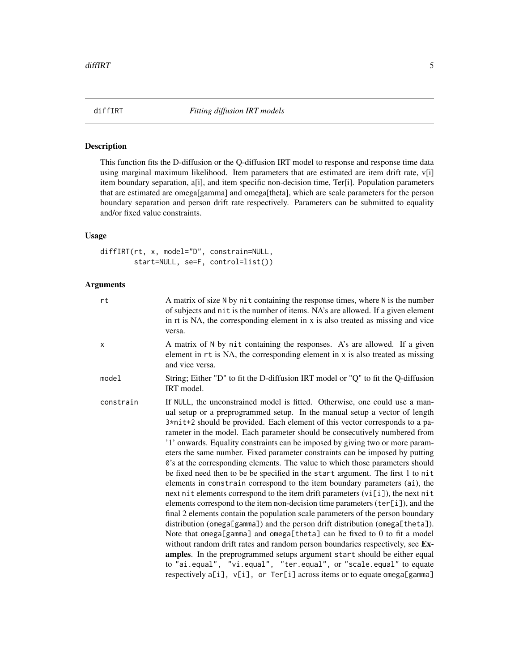<span id="page-4-1"></span><span id="page-4-0"></span>

# Description

This function fits the D-diffusion or the Q-diffusion IRT model to response and response time data using marginal maximum likelihood. Item parameters that are estimated are item drift rate, v[i] item boundary separation, a[i], and item specific non-decision time, Ter[i]. Population parameters that are estimated are omega[gamma] and omega[theta], which are scale parameters for the person boundary separation and person drift rate respectively. Parameters can be submitted to equality and/or fixed value constraints.

# Usage

diffIRT(rt, x, model="D", constrain=NULL, start=NULL, se=F, control=list())

# Arguments

| rt        | A matrix of size N by nit containing the response times, where N is the number<br>of subjects and nit is the number of items. NA's are allowed. If a given element<br>in rt is NA, the corresponding element in x is also treated as missing and vice<br>versa.                                                                                                                                                                                                                                                                                                                                                                                                                                                                                                                                                                                                                                                                                                                                                                                                                                                                                                                                                                                                                                                                                                                                                                                                                  |
|-----------|----------------------------------------------------------------------------------------------------------------------------------------------------------------------------------------------------------------------------------------------------------------------------------------------------------------------------------------------------------------------------------------------------------------------------------------------------------------------------------------------------------------------------------------------------------------------------------------------------------------------------------------------------------------------------------------------------------------------------------------------------------------------------------------------------------------------------------------------------------------------------------------------------------------------------------------------------------------------------------------------------------------------------------------------------------------------------------------------------------------------------------------------------------------------------------------------------------------------------------------------------------------------------------------------------------------------------------------------------------------------------------------------------------------------------------------------------------------------------------|
| X         | A matrix of N by nit containing the responses. A's are allowed. If a given<br>element in rt is NA, the corresponding element in x is also treated as missing<br>and vice versa.                                                                                                                                                                                                                                                                                                                                                                                                                                                                                                                                                                                                                                                                                                                                                                                                                                                                                                                                                                                                                                                                                                                                                                                                                                                                                                  |
| model     | String; Either "D" to fit the D-diffusion IRT model or "Q" to fit the Q-diffusion<br>IRT model.                                                                                                                                                                                                                                                                                                                                                                                                                                                                                                                                                                                                                                                                                                                                                                                                                                                                                                                                                                                                                                                                                                                                                                                                                                                                                                                                                                                  |
| constrain | If NULL, the unconstrained model is fitted. Otherwise, one could use a man-<br>ual setup or a preprogrammed setup. In the manual setup a vector of length<br>3*nit+2 should be provided. Each element of this vector corresponds to a pa-<br>rameter in the model. Each parameter should be consecutively numbered from<br>'1' onwards. Equality constraints can be imposed by giving two or more param-<br>eters the same number. Fixed parameter constraints can be imposed by putting<br>0's at the corresponding elements. The value to which those parameters should<br>be fixed need then to be be specified in the start argument. The first 1 to nit<br>elements in constrain correspond to the item boundary parameters (ai), the<br>next nit elements correspond to the item drift parameters (vi[i]), the next nit<br>elements correspond to the item non-decision time parameters (ter[i]), and the<br>final 2 elements contain the population scale parameters of the person boundary<br>distribution (omega[gamma]) and the person drift distribution (omega[theta]).<br>Note that omega[gamma] and omega[theta] can be fixed to 0 to fit a model<br>without random drift rates and random person boundaries respectively, see Ex-<br>amples. In the preprogrammed setups argument start should be either equal<br>to "ai.equal", "vi.equal", "ter.equal", or "scale.equal" to equate<br>respectively a[i], v[i], or Ter[i] across items or to equate omega[gamma] |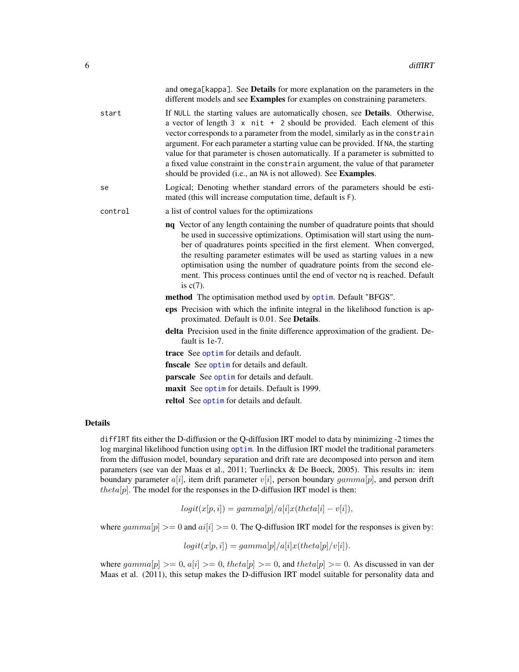<span id="page-5-0"></span>

|         | and omega[kappa]. See <b>Details</b> for more explanation on the parameters in the<br>different models and see Examples for examples on constraining parameters.                                                                                                                                                                                                                                                                                                                                                                                                                                 |
|---------|--------------------------------------------------------------------------------------------------------------------------------------------------------------------------------------------------------------------------------------------------------------------------------------------------------------------------------------------------------------------------------------------------------------------------------------------------------------------------------------------------------------------------------------------------------------------------------------------------|
| start   | If NULL the starting values are automatically chosen, see <b>Details</b> . Otherwise,<br>a vector of length $3 \times \text{nit} + 2$ should be provided. Each element of this<br>vector corresponds to a parameter from the model, similarly as in the constrain<br>argument. For each parameter a starting value can be provided. If NA, the starting<br>value for that parameter is chosen automatically. If a parameter is submitted to<br>a fixed value constraint in the constrain argument, the value of that parameter<br>should be provided (i.e., an NA is not allowed). See Examples. |
| se      | Logical; Denoting whether standard errors of the parameters should be esti-<br>mated (this will increase computation time, default is F).                                                                                                                                                                                                                                                                                                                                                                                                                                                        |
| control | a list of control values for the optimizations                                                                                                                                                                                                                                                                                                                                                                                                                                                                                                                                                   |
|         | nq Vector of any length containing the number of quadrature points that should<br>be used in successive optimizations. Optimisation will start using the num-<br>ber of quadratures points specified in the first element. When converged,<br>the resulting parameter estimates will be used as starting values in a new<br>optimisation using the number of quadrature points from the second ele-<br>ment. This process continues until the end of vector nq is reached. Default<br>is $c(7)$ .                                                                                                |
|         | method The optimisation method used by optim. Default "BFGS".                                                                                                                                                                                                                                                                                                                                                                                                                                                                                                                                    |
|         | eps Precision with which the infinite integral in the likelihood function is ap-<br>proximated. Default is 0.01. See Details.                                                                                                                                                                                                                                                                                                                                                                                                                                                                    |
|         | delta Precision used in the finite difference approximation of the gradient. De-<br>fault is 1e-7.                                                                                                                                                                                                                                                                                                                                                                                                                                                                                               |
|         | trace See optim for details and default.                                                                                                                                                                                                                                                                                                                                                                                                                                                                                                                                                         |
|         | <b>finscale</b> See optim for details and default.                                                                                                                                                                                                                                                                                                                                                                                                                                                                                                                                               |
|         | <b>parscale</b> See optim for details and default.                                                                                                                                                                                                                                                                                                                                                                                                                                                                                                                                               |
|         | maxit See optim for details. Default is 1999.                                                                                                                                                                                                                                                                                                                                                                                                                                                                                                                                                    |
|         | reltol See optime for details and default.                                                                                                                                                                                                                                                                                                                                                                                                                                                                                                                                                       |

#### Details

diffIRT fits either the D-diffusion or the Q-diffusion IRT model to data by minimizing -2 times the log marginal likelihood function using [optim](#page-0-0). In the diffusion IRT model the traditional parameters from the diffusion model, boundary separation and drift rate are decomposed into person and item parameters (see van der Maas et al., 2011; Tuerlinckx & De Boeck, 2005). This results in: item boundary parameter  $a[i]$ , item drift parameter  $v[i]$ , person boundary  $gamma[i]$ , and person drift  $theta[p]$ . The model for the responses in the D-diffusion IRT model is then:

$$
logit(x[p, i]) = gamma[p]/a[i]x(theta[i] - v[i]),
$$

where  $gamma[p] >= 0$  and  $ai[i] >= 0$ . The Q-diffusion IRT model for the responses is given by:

$$
logit(x[p, i]) = gamma[p]/a[i]x(theta[p]/v[i]).
$$

where  $gamma[p] \ge 0$ ,  $a[i] \ge 0$ , theta[p]  $\ge 0$ , and theta[p]  $\ge 0$ . As discussed in van der Maas et al. (2011), this setup makes the D-diffusion IRT model suitable for personality data and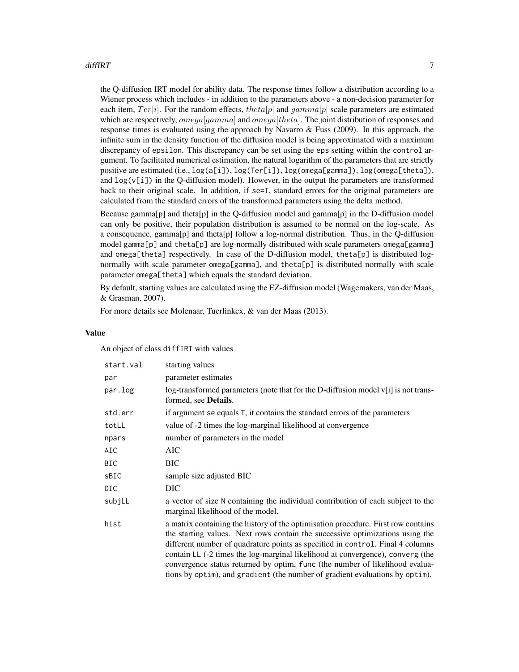#### diffIRT **7**

the Q-diffusion IRT model for ability data. The response times follow a distribution according to a Wiener process which includes - in addition to the parameters above - a non-decision parameter for each item,  $Ter[i]$ . For the random effects, theta[p] and gamma[p] scale parameters are estimated which are respectively,  $omegalgamma$  and  $omegalftheta$ . The joint distribution of responses and response times is evaluated using the approach by Navarro  $\&$  Fuss (2009). In this approach, the infinite sum in the density function of the diffusion model is being approximated with a maximum discrepancy of epsilon. This discrepancy can be set using the eps setting within the control argument. To facilitated numerical estimation, the natural logarithm of the parameters that are strictly positive are estimated (i.e., log(a[i]), log(Ter[i]), log(omega[gamma]), log(omega[theta]), and  $log(v[i])$  in the Q-diffusion model). However, in the output the parameters are transformed back to their original scale. In addition, if se=T, standard errors for the original parameters are calculated from the standard errors of the transformed parameters using the delta method.

Because gamma[p] and theta[p] in the Q-diffusion model and gamma[p] in the D-diffusion model can only be positive, their population distribution is assumed to be normal on the log-scale. As a consequence, gamma[p] and theta[p] follow a log-normal distribution. Thus, in the Q-diffusion model gamma[p] and theta[p] are log-normally distributed with scale parameters omega[gamma] and omega[theta] respectively. In case of the D-diffusion model, theta[p] is distributed lognormally with scale parameter omega[gamma], and theta[p] is distributed normally with scale parameter omega[theta] which equals the standard deviation.

By default, starting values are calculated using the EZ-diffusion model (Wagemakers, van der Maas, & Grasman, 2007).

For more details see Molenaar, Tuerlinkcx, & van der Maas (2013).

#### Value

An object of class diffIRT with values

| start.val | starting values                                                                                                                                                                                                                                                                                                                                                                                                                                                                                        |
|-----------|--------------------------------------------------------------------------------------------------------------------------------------------------------------------------------------------------------------------------------------------------------------------------------------------------------------------------------------------------------------------------------------------------------------------------------------------------------------------------------------------------------|
| par       | parameter estimates                                                                                                                                                                                                                                                                                                                                                                                                                                                                                    |
| par.log   | log-transformed parameters (note that for the D-diffusion model $v[i]$ is not trans-<br>formed, see Details.                                                                                                                                                                                                                                                                                                                                                                                           |
| std.err   | if argument se equals T, it contains the standard errors of the parameters                                                                                                                                                                                                                                                                                                                                                                                                                             |
| totLL     | value of -2 times the log-marginal likelihood at convergence                                                                                                                                                                                                                                                                                                                                                                                                                                           |
| npars     | number of parameters in the model                                                                                                                                                                                                                                                                                                                                                                                                                                                                      |
| AIC       | AIC                                                                                                                                                                                                                                                                                                                                                                                                                                                                                                    |
| BIC       | BIC                                                                                                                                                                                                                                                                                                                                                                                                                                                                                                    |
| sBIC      | sample size adjusted BIC                                                                                                                                                                                                                                                                                                                                                                                                                                                                               |
| DIC       | DIC                                                                                                                                                                                                                                                                                                                                                                                                                                                                                                    |
| subjLL    | a vector of size N containing the individual contribution of each subject to the<br>marginal likelihood of the model.                                                                                                                                                                                                                                                                                                                                                                                  |
| hist      | a matrix containing the history of the optimisation procedure. First row contains<br>the starting values. Next rows contain the successive optimizations using the<br>different number of quadrature points as specified in control. Final 4 columns<br>contain LL (-2 times the log-marginal likelihood at convergence), converg (the<br>convergence status returned by optim, func (the number of likelihood evalua-<br>tions by optim), and gradient (the number of gradient evaluations by optim). |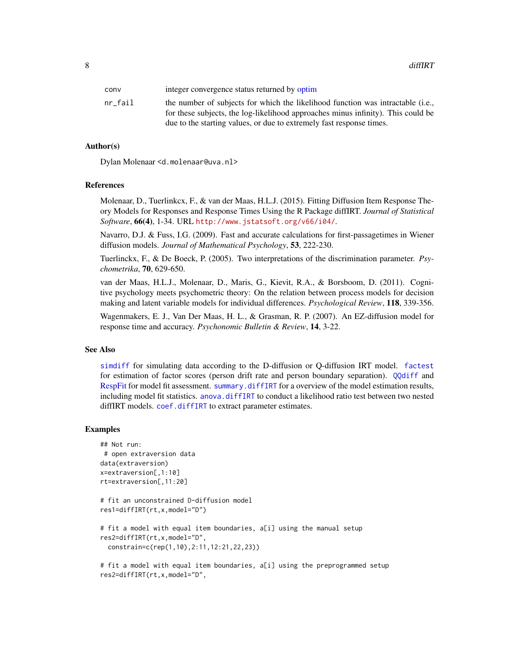<span id="page-7-0"></span>8 diffIRT

| conv    | integer convergence status returned by optim                                                                                                                        |
|---------|---------------------------------------------------------------------------------------------------------------------------------------------------------------------|
| nr fail | the number of subjects for which the likelihood function was intractable (i.e.,<br>for these subjects, the log-likelihood approaches minus infinity). This could be |
|         | due to the starting values, or due to extremely fast response times.                                                                                                |

#### Author(s)

Dylan Molenaar <d.molenaar@uva.nl>

#### References

Molenaar, D., Tuerlinkcx, F., & van der Maas, H.L.J. (2015). Fitting Diffusion Item Response Theory Models for Responses and Response Times Using the R Package diffIRT. *Journal of Statistical Software*, 66(4), 1-34. URL <http://www.jstatsoft.org/v66/i04/>.

Navarro, D.J. & Fuss, I.G. (2009). Fast and accurate calculations for first-passagetimes in Wiener diffusion models. *Journal of Mathematical Psychology*, 53, 222-230.

Tuerlinckx, F., & De Boeck, P. (2005). Two interpretations of the discrimination parameter. *Psychometrika*, 70, 629-650.

van der Maas, H.L.J., Molenaar, D., Maris, G., Kievit, R.A., & Borsboom, D. (2011). Cognitive psychology meets psychometric theory: On the relation between process models for decision making and latent variable models for individual differences. *Psychological Review*, 118, 339-356.

Wagenmakers, E. J., Van Der Maas, H. L., & Grasman, R. P. (2007). An EZ-diffusion model for response time and accuracy. *Psychonomic Bulletin & Review*, 14, 3-22.

#### See Also

[simdiff](#page-15-1) for simulating data according to the D-diffusion or Q-diffusion IRT model. [factest](#page-9-1) for estimation of factor scores (person drift rate and person boundary separation). [QQdiff](#page-10-1) and [RespFit](#page-12-1) for model fit assessment. [summary.diffIRT](#page-18-1) for a overview of the model estimation results, including model fit statistics. [anova.diffIRT](#page-1-1) to conduct a likelihood ratio test between two nested diffIRT models. [coef.diffIRT](#page-3-1) to extract parameter estimates.

#### Examples

```
## Not run:
# open extraversion data
data(extraversion)
x=extraversion[,1:10]
rt=extraversion[,11:20]
```

```
# fit an unconstrained D-diffusion model
res1=diffIRT(rt,x,model="D")
```

```
# fit a model with equal item boundaries, a[i] using the manual setup
res2=diffIRT(rt,x,model="D",
 constrain=c(rep(1,10),2:11,12:21,22,23))
```

```
# fit a model with equal item boundaries, a[i] using the preprogrammed setup
res2=diffIRT(rt,x,model="D",
```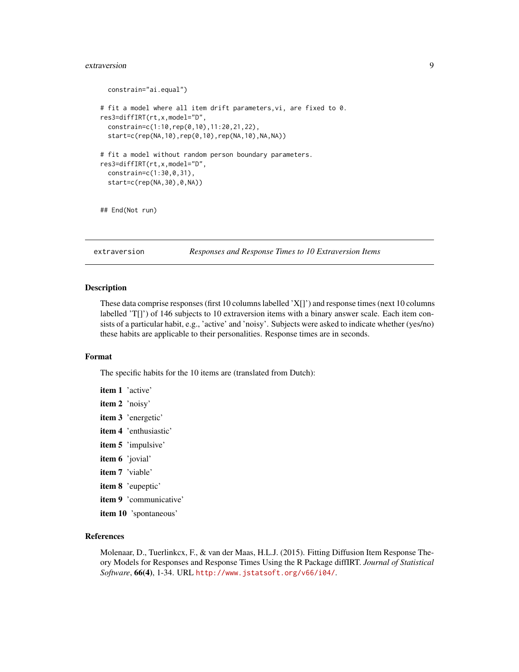#### <span id="page-8-0"></span>extraversion and the set of the set of the set of the set of the set of the set of the set of the set of the set of the set of the set of the set of the set of the set of the set of the set of the set of the set of the set

```
constrain="ai.equal")
# fit a model where all item drift parameters,vi, are fixed to 0.
res3=diffIRT(rt,x,model="D",
 constrain=c(1:10,rep(0,10),11:20,21,22),
 start=c(rep(NA,10),rep(0,10),rep(NA,10),NA,NA))
# fit a model without random person boundary parameters.
res3=diffIRT(rt,x,model="D",
 constrain=c(1:30,0,31),
 start=c(rep(NA,30),0,NA))
## End(Not run)
```
extraversion *Responses and Response Times to 10 Extraversion Items*

#### Description

These data comprise responses (first 10 columns labelled 'X[]') and response times (next 10 columns labelled 'T[]') of 146 subjects to 10 extraversion items with a binary answer scale. Each item consists of a particular habit, e.g., 'active' and 'noisy'. Subjects were asked to indicate whether (yes/no) these habits are applicable to their personalities. Response times are in seconds.

#### Format

The specific habits for the 10 items are (translated from Dutch):

- item 1 'active'
- item 2 'noisy'
- item 3 'energetic'
- item 4 'enthusiastic'
- item 5 'impulsive'
- item 6 'jovial'
- item 7 'viable'
- item 8 'eupeptic'
- item 9 'communicative'
- item 10 'spontaneous'

# References

Molenaar, D., Tuerlinkcx, F., & van der Maas, H.L.J. (2015). Fitting Diffusion Item Response Theory Models for Responses and Response Times Using the R Package diffIRT. *Journal of Statistical Software*, 66(4), 1-34. URL <http://www.jstatsoft.org/v66/i04/>.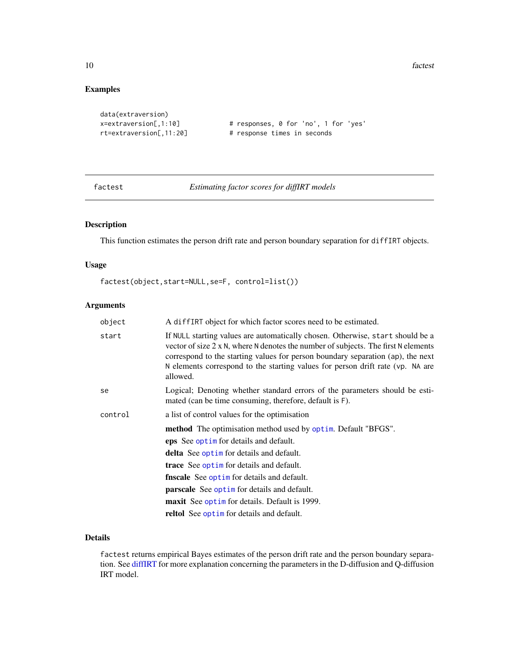10 factor and the state of the state of the state of the state of the state of the state of the state of the state of the state of the state of the state of the state of the state of the state of the state of the state of

# Examples

```
data(extraversion)
```

```
x=extraversion[,1:10] # responses, 0 for 'no', 1 for 'yes'
rt=extraversion[,11:20] # response times in seconds
```
<span id="page-9-1"></span>factest *Estimating factor scores for diffIRT models*

# Description

This function estimates the person drift rate and person boundary separation for diffIRT objects.

# Usage

factest(object,start=NULL,se=F, control=list())

# Arguments

| A diffIRT object for which factor scores need to be estimated.                                                                                                                                                                                                                                                                                                |  |  |  |  |  |  |  |
|---------------------------------------------------------------------------------------------------------------------------------------------------------------------------------------------------------------------------------------------------------------------------------------------------------------------------------------------------------------|--|--|--|--|--|--|--|
| If NULL starting values are automatically chosen. Otherwise, start should be a<br>vector of size $2 \times N$ , where N denotes the number of subjects. The first N elements<br>correspond to the starting values for person boundary separation (ap), the next<br>N elements correspond to the starting values for person drift rate (vp. NA are<br>allowed. |  |  |  |  |  |  |  |
| Logical; Denoting whether standard errors of the parameters should be esti-<br>mated (can be time consuming, therefore, default is F).                                                                                                                                                                                                                        |  |  |  |  |  |  |  |
| a list of control values for the optimisation                                                                                                                                                                                                                                                                                                                 |  |  |  |  |  |  |  |
| <b>method</b> The optimisation method used by optim. Default "BFGS".                                                                                                                                                                                                                                                                                          |  |  |  |  |  |  |  |
| eps See optim for details and default.                                                                                                                                                                                                                                                                                                                        |  |  |  |  |  |  |  |
| <b>delta</b> See optim for details and default.                                                                                                                                                                                                                                                                                                               |  |  |  |  |  |  |  |
| <b>trace</b> See optime for details and default.                                                                                                                                                                                                                                                                                                              |  |  |  |  |  |  |  |
| fnscale See optim for details and default.                                                                                                                                                                                                                                                                                                                    |  |  |  |  |  |  |  |
| <b>parscale</b> See optime for details and default.                                                                                                                                                                                                                                                                                                           |  |  |  |  |  |  |  |
| maxit See optim for details. Default is 1999.                                                                                                                                                                                                                                                                                                                 |  |  |  |  |  |  |  |
| reltol See optim for details and default.                                                                                                                                                                                                                                                                                                                     |  |  |  |  |  |  |  |
|                                                                                                                                                                                                                                                                                                                                                               |  |  |  |  |  |  |  |

# Details

factest returns empirical Bayes estimates of the person drift rate and the person boundary separation. See [diffIRT](#page-4-1) for more explanation concerning the parameters in the D-diffusion and Q-diffusion IRT model.

<span id="page-9-0"></span>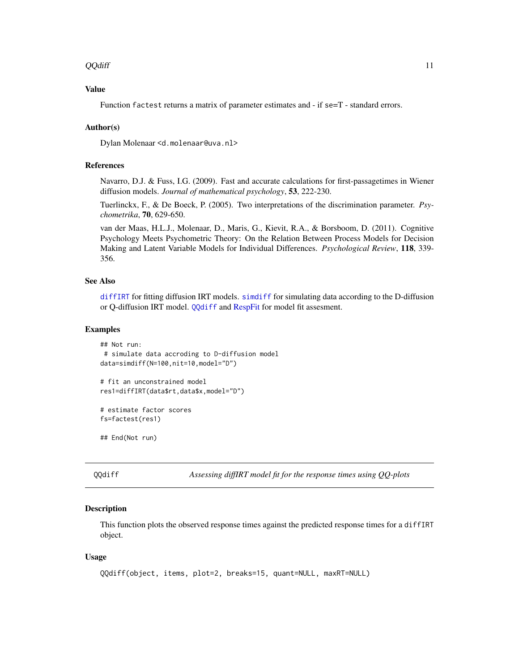#### <span id="page-10-0"></span> $\overline{QQ}$ diff  $\overline{11}$

# Value

Function factest returns a matrix of parameter estimates and - if se=T - standard errors.

# Author(s)

Dylan Molenaar <d.molenaar@uva.nl>

#### References

Navarro, D.J. & Fuss, I.G. (2009). Fast and accurate calculations for first-passagetimes in Wiener diffusion models. *Journal of mathematical psychology*, 53, 222-230.

Tuerlinckx, F., & De Boeck, P. (2005). Two interpretations of the discrimination parameter. *Psychometrika*, 70, 629-650.

van der Maas, H.L.J., Molenaar, D., Maris, G., Kievit, R.A., & Borsboom, D. (2011). Cognitive Psychology Meets Psychometric Theory: On the Relation Between Process Models for Decision Making and Latent Variable Models for Individual Differences. *Psychological Review*, 118, 339- 356.

# See Also

[diffIRT](#page-4-1) for fitting diffusion IRT models. [simdiff](#page-15-1) for simulating data according to the D-diffusion or Q-diffusion IRT model. [QQdiff](#page-10-1) and [RespFit](#page-12-1) for model fit assesment.

#### Examples

```
## Not run:
# simulate data accroding to D-diffusion model
data=simdiff(N=100,nit=10,model="D")
```

```
# fit an unconstrained model
res1=diffIRT(data$rt,data$x,model="D")
```

```
# estimate factor scores
fs=factest(res1)
```
## End(Not run)

<span id="page-10-1"></span>QQdiff *Assessing diffIRT model fit for the response times using QQ-plots*

# **Description**

This function plots the observed response times against the predicted response times for a diffIRT object.

#### Usage

```
QQdiff(object, items, plot=2, breaks=15, quant=NULL, maxRT=NULL)
```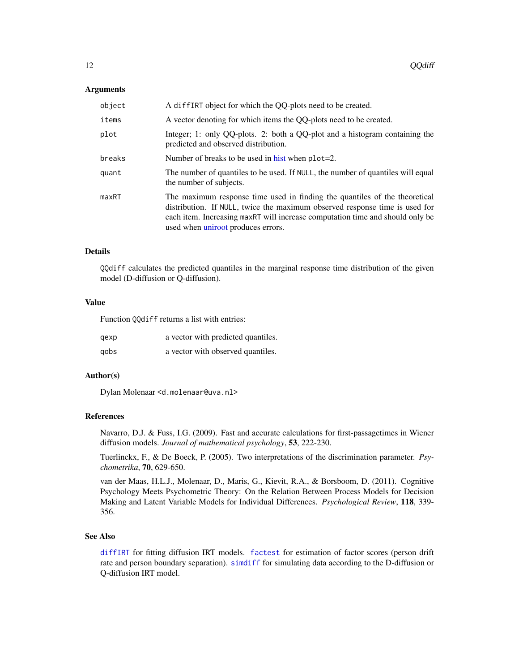#### <span id="page-11-0"></span>Arguments

| object | A diffIRT object for which the QQ-plots need to be created.                                                                                                                                                                                                                      |
|--------|----------------------------------------------------------------------------------------------------------------------------------------------------------------------------------------------------------------------------------------------------------------------------------|
| items  | A vector denoting for which items the QQ-plots need to be created.                                                                                                                                                                                                               |
| plot   | Integer; 1: only QQ-plots. 2: both a QQ-plot and a histogram containing the<br>predicted and observed distribution.                                                                                                                                                              |
| breaks | Number of breaks to be used in hist when $plot=2$ .                                                                                                                                                                                                                              |
| quant  | The number of quantiles to be used. If NULL, the number of quantiles will equal<br>the number of subjects.                                                                                                                                                                       |
| maxRT  | The maximum response time used in finding the quantiles of the theoretical<br>distribution. If NULL, twice the maximum observed response time is used for<br>each item. Increasing maxRT will increase computation time and should only be<br>used when uniroot produces errors. |

## Details

QQdiff calculates the predicted quantiles in the marginal response time distribution of the given model (D-diffusion or Q-diffusion).

# Value

Function QQdiff returns a list with entries:

| qexp | a vector with predicted quantiles. |
|------|------------------------------------|
| gobs | a vector with observed quantiles.  |

#### Author(s)

Dylan Molenaar <d.molenaar@uva.nl>

#### References

Navarro, D.J. & Fuss, I.G. (2009). Fast and accurate calculations for first-passagetimes in Wiener diffusion models. *Journal of mathematical psychology*, 53, 222-230.

Tuerlinckx, F., & De Boeck, P. (2005). Two interpretations of the discrimination parameter. *Psychometrika*, 70, 629-650.

van der Maas, H.L.J., Molenaar, D., Maris, G., Kievit, R.A., & Borsboom, D. (2011). Cognitive Psychology Meets Psychometric Theory: On the Relation Between Process Models for Decision Making and Latent Variable Models for Individual Differences. *Psychological Review*, 118, 339- 356.

# See Also

[diffIRT](#page-4-1) for fitting diffusion IRT models. [factest](#page-9-1) for estimation of factor scores (person drift rate and person boundary separation). [simdiff](#page-15-1) for simulating data according to the D-diffusion or Q-diffusion IRT model.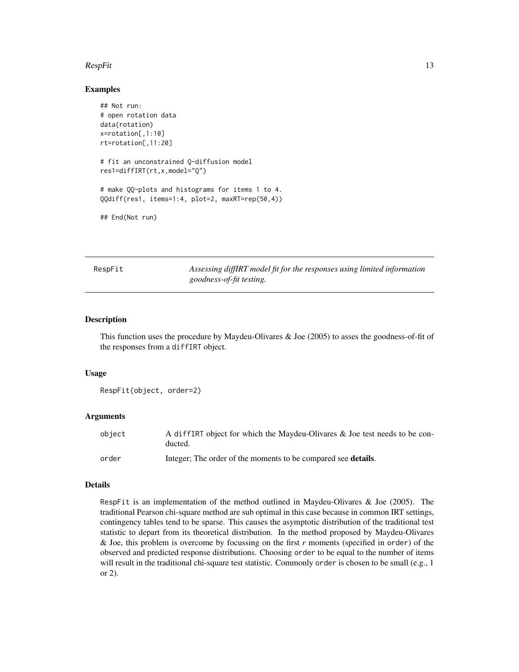#### <span id="page-12-0"></span> $RespFit$  13

#### Examples

```
## Not run:
# open rotation data
data(rotation)
x=rotation[,1:10]
rt=rotation[,11:20]
# fit an unconstrained Q-diffusion model
res1=diffIRT(rt,x,model="Q")
# make QQ-plots and histograms for items 1 to 4.
QQdiff(res1, items=1:4, plot=2, maxRT=rep(50,4))
## End(Not run)
```
<span id="page-12-1"></span>RespFit *Assessing diffIRT model fit for the responses using limited information goodness-of-fit testing.*

#### Description

This function uses the procedure by Maydeu-Olivares & Joe (2005) to asses the goodness-of-fit of the responses from a diffIRT object.

#### Usage

```
RespFit(object, order=2)
```
#### Arguments

| object | A diffIRT object for which the Maydeu-Olivares & Joe test needs to be con-<br>ducted. |
|--------|---------------------------------------------------------------------------------------|
| order  | Integer; The order of the moments to be compared see <b>details</b> .                 |

#### Details

RespFit is an implementation of the method outlined in Maydeu-Olivares & Joe (2005). The traditional Pearson chi-square method are sub optimal in this case because in common IRT settings, contingency tables tend to be sparse. This causes the asymptotic distribution of the traditional test statistic to depart from its theoretical distribution. In the method proposed by Maydeu-Olivares & Joe, this problem is overcome by focussing on the first *r* moments (specified in order) of the observed and predicted response distributions. Choosing order to be equal to the number of items will result in the traditional chi-square test statistic. Commonly order is chosen to be small (e.g., 1) or 2).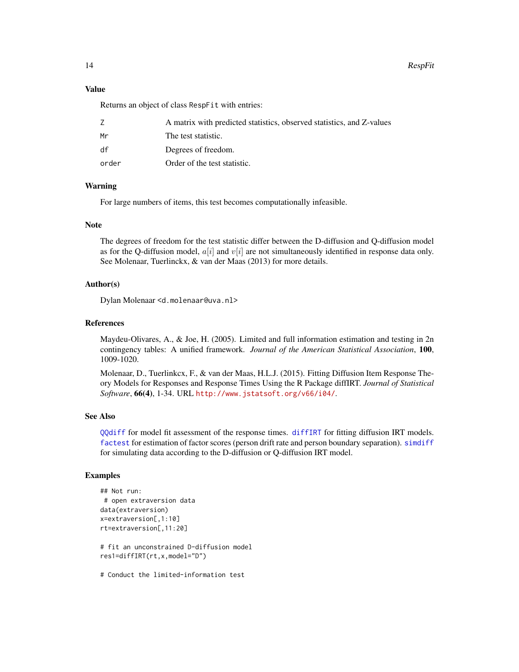#### <span id="page-13-0"></span>Value

Returns an object of class RespFit with entries:

|       | A matrix with predicted statistics, observed statistics, and Z-values |
|-------|-----------------------------------------------------------------------|
| Mr    | The test statistic.                                                   |
| df    | Degrees of freedom.                                                   |
| order | Order of the test statistic.                                          |

# Warning

For large numbers of items, this test becomes computationally infeasible.

#### Note

The degrees of freedom for the test statistic differ between the D-diffusion and Q-diffusion model as for the Q-diffusion model,  $a[i]$  and  $v[i]$  are not simultaneously identified in response data only. See Molenaar, Tuerlinckx, & van der Maas (2013) for more details.

# Author(s)

Dylan Molenaar <d.molenaar@uva.nl>

# References

Maydeu-Olivares, A., & Joe, H. (2005). Limited and full information estimation and testing in 2n contingency tables: A unified framework. *Journal of the American Statistical Association*, 100, 1009-1020.

Molenaar, D., Tuerlinkcx, F., & van der Maas, H.L.J. (2015). Fitting Diffusion Item Response Theory Models for Responses and Response Times Using the R Package diffIRT. *Journal of Statistical Software*, 66(4), 1-34. URL <http://www.jstatsoft.org/v66/i04/>.

#### See Also

[QQdiff](#page-10-1) for model fit assessment of the response times. [diffIRT](#page-4-1) for fitting diffusion IRT models. [factest](#page-9-1) for estimation of factor scores (person drift rate and person boundary separation). [simdiff](#page-15-1) for simulating data according to the D-diffusion or Q-diffusion IRT model.

# Examples

```
## Not run:
# open extraversion data
data(extraversion)
x=extraversion[,1:10]
rt=extraversion[,11:20]
# fit an unconstrained D-diffusion model
res1=diffIRT(rt,x,model="D")
```
# Conduct the limited-information test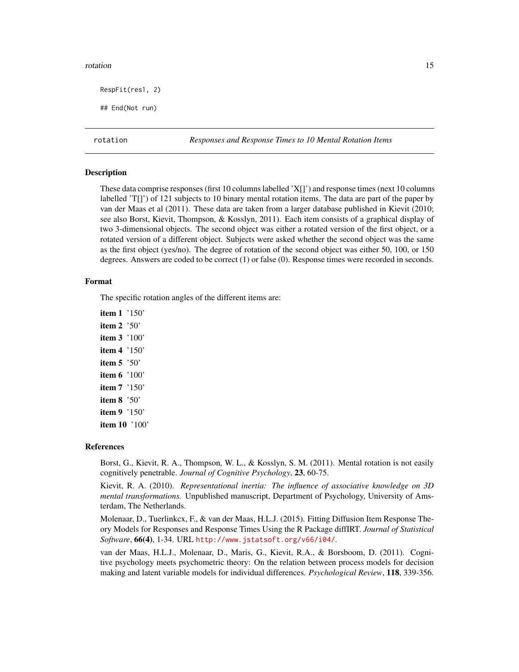#### <span id="page-14-0"></span>rotation and the control of the control of the control of the control of the control of the control of the control of the control of the control of the control of the control of the control of the control of the control of

RespFit(res1, 2)

## End(Not run)

rotation *Responses and Response Times to 10 Mental Rotation Items*

# Description

These data comprise responses (first 10 columns labelled 'X[]') and response times (next 10 columns labelled 'T[]') of 121 subjects to 10 binary mental rotation items. The data are part of the paper by van der Maas et al (2011). These data are taken from a larger database published in Kievit (2010; see also Borst, Kievit, Thompson, & Kosslyn, 2011). Each item consists of a graphical display of two 3-dimensional objects. The second object was either a rotated version of the first object, or a rotated version of a different object. Subjects were asked whether the second object was the same as the first object (yes/no). The degree of rotation of the second object was either 50, 100, or 150 degrees. Answers are coded to be correct (1) or false (0). Response times were recorded in seconds.

#### Format

The specific rotation angles of the different items are:

item 1 '150' item 2 '50' item 3 '100' item 4 '150' item 5 '50' item 6 '100' item 7 '150' item 8 '50' item 9 '150' item 10 '100'

#### References

Borst, G., Kievit, R. A., Thompson, W. L., & Kosslyn, S. M. (2011). Mental rotation is not easily cognitively penetrable. *Journal of Cognitive Psychology*, 23, 60-75.

Kievit, R. A. (2010). *Representational inertia: The influence of associative knowledge on 3D mental transformations.* Unpublished manuscript, Department of Psychology, University of Amsterdam, The Netherlands.

Molenaar, D., Tuerlinkcx, F., & van der Maas, H.L.J. (2015). Fitting Diffusion Item Response Theory Models for Responses and Response Times Using the R Package diffIRT. *Journal of Statistical Software*, 66(4), 1-34. URL <http://www.jstatsoft.org/v66/i04/>.

van der Maas, H.L.J., Molenaar, D., Maris, G., Kievit, R.A., & Borsboom, D. (2011). Cognitive psychology meets psychometric theory: On the relation between process models for decision making and latent variable models for individual differences. *Psychological Review*, 118, 339-356.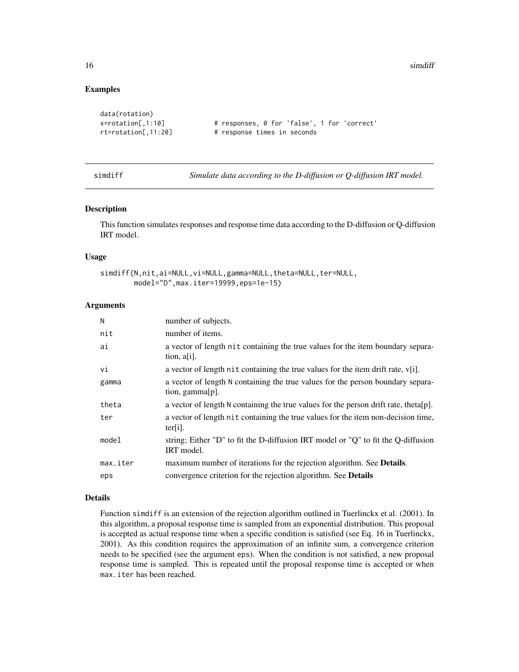16 simdlift states and the states of the states of the states of the states of the states of the states of the states of the states of the states of the states of the states of the states of the states of the states of the

# Examples

```
data(rotation)
x=rotation[,1:10] # responses, 0 for 'false', 1 for 'correct'
rt=rotation[,11:20] # response times in seconds
```
simdiff *Simulate data according to the D-diffusion or Q-diffusion IRT model.*

# Description

This function simulates responses and response time data according to the D-diffusion or Q-diffusion IRT model.

# Usage

```
simdiff(N,nit,ai=NULL,vi=NULL,gamma=NULL,theta=NULL,ter=NULL,
       model="D",max.iter=19999,eps=1e-15)
```
#### Arguments

| N        | number of subjects.                                                                                    |
|----------|--------------------------------------------------------------------------------------------------------|
| nit      | number of items.                                                                                       |
| ai       | a vector of length nit containing the true values for the item boundary separa-<br>tion, $a[i]$ .      |
| vi       | a vector of length nit containing the true values for the item drift rate, $v[i]$ .                    |
| gamma    | a vector of length N containing the true values for the person boundary separa-<br>tion, gamma $[p]$ . |
| theta    | a vector of length N containing the true values for the person drift rate, theta[p].                   |
| ter      | a vector of length nit containing the true values for the item non-decision time,<br>$ter[i]$ .        |
| model    | string; Either "D" to fit the D-diffusion IRT model or "Q" to fit the Q-diffusion<br>IRT model.        |
| max.iter | maximum number of iterations for the rejection algorithm. See <b>Details</b> .                         |
| eps      | convergence criterion for the rejection algorithm. See <b>Details</b>                                  |

#### Details

Function simdiff is an extension of the rejection algorithm outlined in Tuerlinckx et al. (2001). In this algorithm, a proposal response time is sampled from an exponential distribution. This proposal is accepted as actual response time when a specific condition is satisfied (see Eq. 16 in Tuerlinckx, 2001). As this condition requires the approximation of an infinite sum, a convergence criterion needs to be specified (see the argument eps). When the condition is not satisfied, a new proposal response time is sampled. This is repeated until the proposal response time is accepted or when max.iter has been reached.

<span id="page-15-0"></span>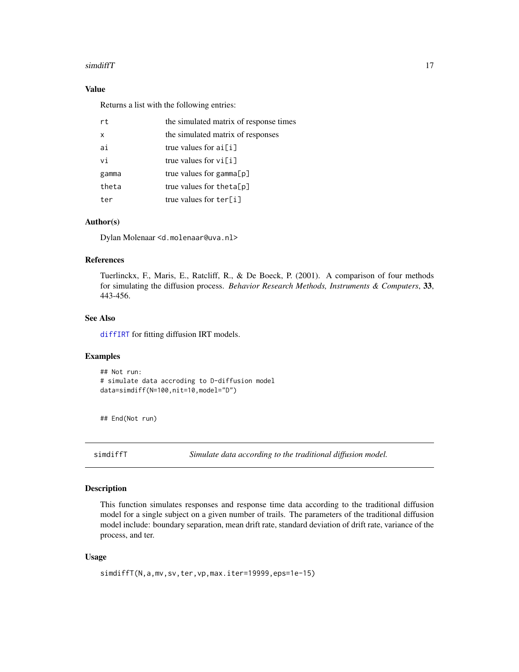## <span id="page-16-0"></span>simdiffT  $\qquad \qquad$  17

# Value

Returns a list with the following entries:

| rt    | the simulated matrix of response times |
|-------|----------------------------------------|
| x     | the simulated matrix of responses      |
| ai    | true values for $ai[i]$                |
| vi    | true values for $vi[i]$                |
| gamma | true values for gamma $[p]$            |
| theta | true values for the ta $[p]$           |
| ter   | true values for ter[i]                 |

# Author(s)

Dylan Molenaar <d.molenaar@uva.nl>

### References

Tuerlinckx, F., Maris, E., Ratcliff, R., & De Boeck, P. (2001). A comparison of four methods for simulating the diffusion process. *Behavior Research Methods, Instruments & Computers*, 33, 443-456.

# See Also

[diffIRT](#page-4-1) for fitting diffusion IRT models.

## Examples

```
## Not run:
# simulate data accroding to D-diffusion model
data=simdiff(N=100,nit=10,model="D")
```
## End(Not run)

simdiffT *Simulate data according to the traditional diffusion model.*

#### Description

This function simulates responses and response time data according to the traditional diffusion model for a single subject on a given number of trails. The parameters of the traditional diffusion model include: boundary separation, mean drift rate, standard deviation of drift rate, variance of the process, and ter.

#### Usage

```
simdiffT(N,a,mv,sv,ter,vp,max.iter=19999,eps=1e-15)
```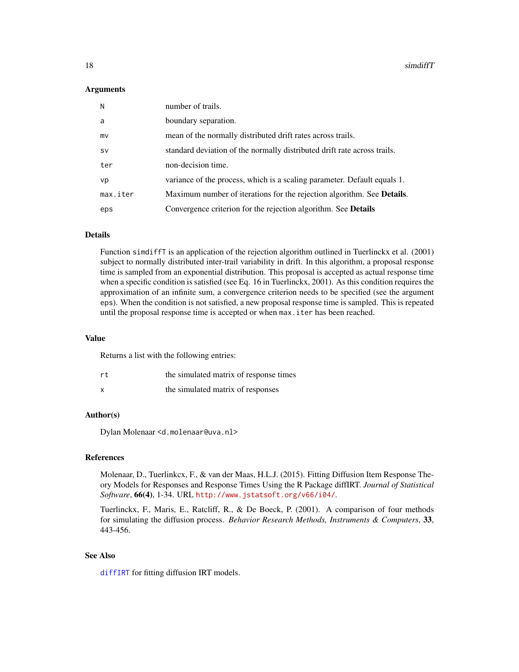#### <span id="page-17-0"></span>Arguments

| N         | number of trails.                                                              |
|-----------|--------------------------------------------------------------------------------|
| a         | boundary separation.                                                           |
| mv        | mean of the normally distributed drift rates across trails.                    |
| <b>SV</b> | standard deviation of the normally distributed drift rate across trails.       |
| ter       | non-decision time.                                                             |
| vp        | variance of the process, which is a scaling parameter. Default equals 1.       |
| max.iter  | Maximum number of iterations for the rejection algorithm. See <b>Details</b> . |
| eps       | Convergence criterion for the rejection algorithm. See <b>Details</b>          |

#### Details

Function simdiffT is an application of the rejection algorithm outlined in Tuerlinckx et al. (2001) subject to normally distributed inter-trail variability in drift. In this algorithm, a proposal response time is sampled from an exponential distribution. This proposal is accepted as actual response time when a specific condition is satisfied (see Eq. 16 in Tuerlinckx, 2001). As this condition requires the approximation of an infinite sum, a convergence criterion needs to be specified (see the argument eps). When the condition is not satisfied, a new proposal response time is sampled. This is repeated until the proposal response time is accepted or when max.iter has been reached.

#### Value

Returns a list with the following entries:

| rt | the simulated matrix of response times |
|----|----------------------------------------|
|    | the simulated matrix of responses      |

# Author(s)

Dylan Molenaar <d.molenaar@uva.nl>

# References

Molenaar, D., Tuerlinkcx, F., & van der Maas, H.L.J. (2015). Fitting Diffusion Item Response Theory Models for Responses and Response Times Using the R Package diffIRT. *Journal of Statistical Software*, 66(4), 1-34. URL <http://www.jstatsoft.org/v66/i04/>.

Tuerlinckx, F., Maris, E., Ratcliff, R., & De Boeck, P. (2001). A comparison of four methods for simulating the diffusion process. *Behavior Research Methods, Instruments & Computers*, 33, 443-456.

# See Also

[diffIRT](#page-4-1) for fitting diffusion IRT models.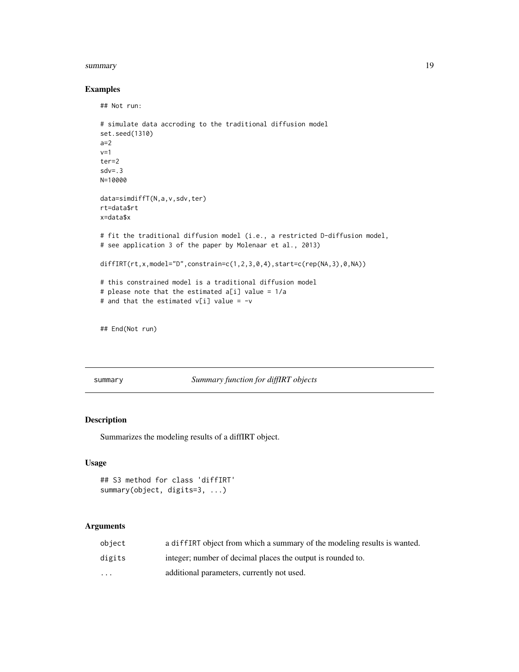#### <span id="page-18-0"></span>summary the contract of the contract of the contract of the contract of the contract of the contract of the contract of the contract of the contract of the contract of the contract of the contract of the contract of the co

# Examples

```
## Not run:
# simulate data accroding to the traditional diffusion model
set.seed(1310)
a=2
v=1ter=2
sdv = .3N=10000
data=simdiffT(N,a,v,sdv,ter)
rt=data$rt
x=data$x
# fit the traditional diffusion model (i.e., a restricted D-diffusion model,
# see application 3 of the paper by Molenaar et al., 2013)
diffIRT(rt, x, \text{model="D",} \text{constraint}=c(1,2,3,0,4), \text{start}=c(\text{rep}(NA,3),0,NA))# this constrained model is a traditional diffusion model
# please note that the estimated a[i] value = 1/a
# and that the estimated v[i] value = -v
```
## End(Not run)

summary *Summary function for diffIRT objects*

# <span id="page-18-1"></span>Description

Summarizes the modeling results of a diffIRT object.

#### Usage

```
## S3 method for class 'diffIRT'
summary(object, digits=3, ...)
```
# Arguments

| obiect                  | a diffIRT object from which a summary of the modeling results is wanted. |
|-------------------------|--------------------------------------------------------------------------|
| digits                  | integer; number of decimal places the output is rounded to.              |
| $\cdot$ $\cdot$ $\cdot$ | additional parameters, currently not used.                               |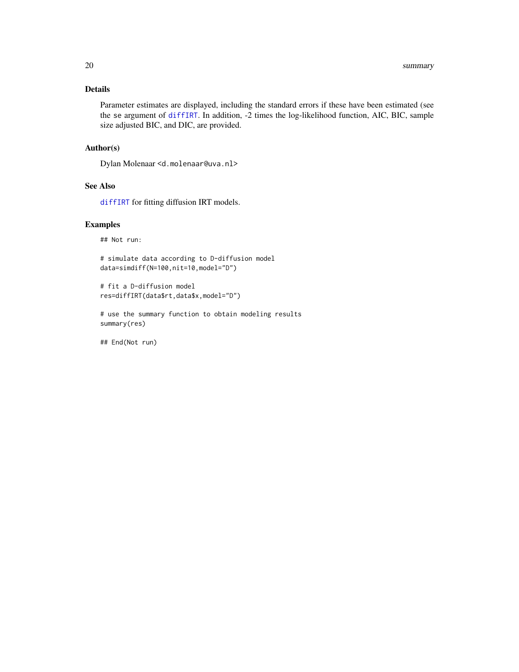# <span id="page-19-0"></span>Details

Parameter estimates are displayed, including the standard errors if these have been estimated (see the se argument of [diffIRT](#page-4-1). In addition, -2 times the log-likelihood function, AIC, BIC, sample size adjusted BIC, and DIC, are provided.

# Author(s)

Dylan Molenaar <d.molenaar@uva.nl>

# See Also

[diffIRT](#page-4-1) for fitting diffusion IRT models.

# Examples

## Not run:

# simulate data according to D-diffusion model data=simdiff(N=100,nit=10,model="D")

```
# fit a D-diffusion model
res=diffIRT(data$rt,data$x,model="D")
```
# use the summary function to obtain modeling results summary(res)

## End(Not run)